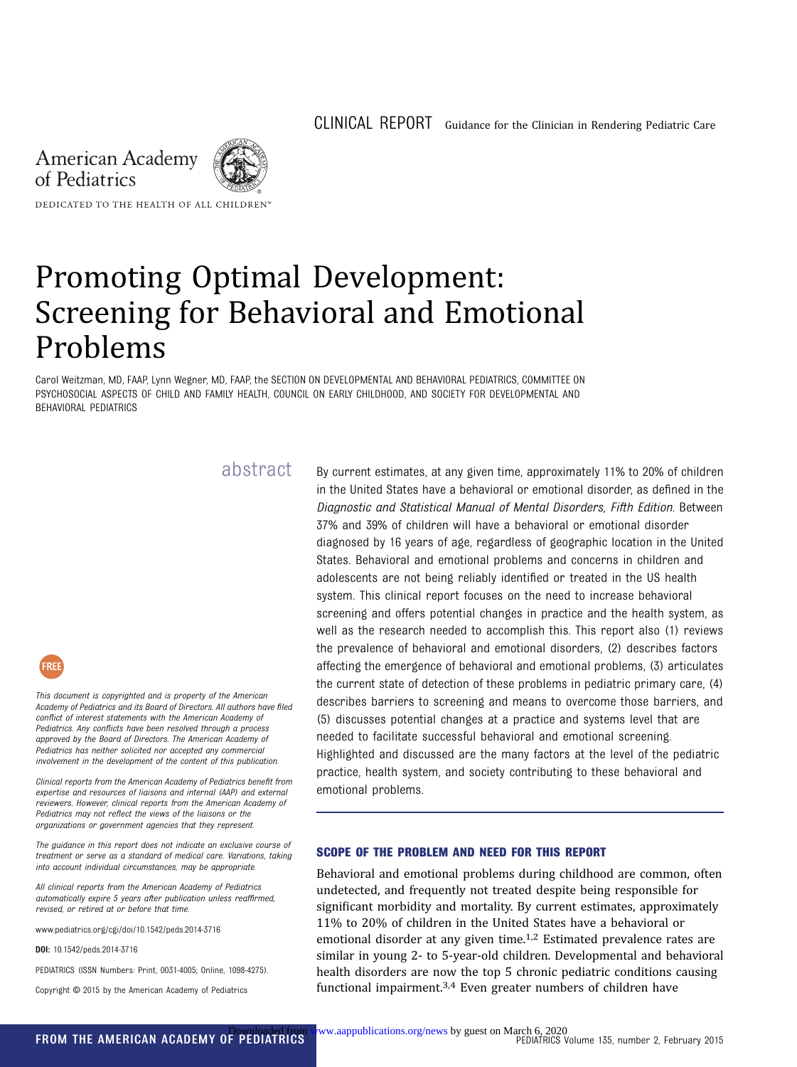



## Promoting Optimal Development: Screening for Behavioral and Emotional Problems

Carol Weitzman, MD, FAAP, Lynn Wegner, MD, FAAP, the SECTION ON DEVELOPMENTAL AND BEHAVIORAL PEDIATRICS, COMMITTEE ON PSYCHOSOCIAL ASPECTS OF CHILD AND FAMILY HEALTH, COUNCIL ON EARLY CHILDHOOD, AND SOCIETY FOR DEVELOPMENTAL AND BEHAVIORAL PEDIATRICS

 $abstract$  By current estimates, at any given time, approximately 11% to 20% of children in the United States have a behavioral or emotional disorder, as defined in the Diagnostic and Statistical Manual of Mental Disorders, Fifth Edition. Between 37% and 39% of children will have a behavioral or emotional disorder diagnosed by 16 years of age, regardless of geographic location in the United States. Behavioral and emotional problems and concerns in children and adolescents are not being reliably identified or treated in the US health system. This clinical report focuses on the need to increase behavioral screening and offers potential changes in practice and the health system, as well as the research needed to accomplish this. This report also (1) reviews the prevalence of behavioral and emotional disorders, (2) describes factors affecting the emergence of behavioral and emotional problems, (3) articulates the current state of detection of these problems in pediatric primary care, (4) describes barriers to screening and means to overcome those barriers, and (5) discusses potential changes at a practice and systems level that are needed to facilitate successful behavioral and emotional screening. Highlighted and discussed are the many factors at the level of the pediatric practice, health system, and society contributing to these behavioral and emotional problems.

#### SCOPE OF THE PROBLEM AND NEED FOR THIS REPORT

Behavioral and emotional problems during childhood are common, often undetected, and frequently not treated despite being responsible for significant morbidity and mortality. By current estimates, approximately 11% to 20% of children in the United States have a behavioral or emotional disorder at any given time.<sup>1,2</sup> Estimated prevalence rates are similar in young 2- to 5-year-old children. Developmental and behavioral health disorders are now the top 5 chronic pediatric conditions causing functional impairment.3,4 Even greater numbers of children have

This document is copyrighted and is property of the American Academy of Pediatrics and its Board of Directors. All authors have filed conflict of interest statements with the American Academy of Pediatrics. Any conflicts have been resolved through a process approved by the Board of Directors. The American Academy of Pediatrics has neither solicited nor accepted any commercial involvement in the development of the content of this publication.

Clinical reports from the American Academy of Pediatrics benefit from expertise and resources of liaisons and internal (AAP) and external reviewers. However, clinical reports from the American Academy of Pediatrics may not reflect the views of the liaisons or the organizations or government agencies that they represent.

The guidance in this report does not indicate an exclusive course of treatment or serve as a standard of medical care. Variations, taking into account individual circumstances, may be appropriate.

All clinical reports from the American Academy of Pediatrics automatically expire 5 years after publication unless reaffirmed, revised, or retired at or before that time.

www.pediatrics.org/cgi/doi/10.1542/peds.2014-3716

DOI: 10.1542/peds.2014-3716

FREE

PEDIATRICS (ISSN Numbers: Print, 0031-4005; Online, 1098-4275).

Copyright © 2015 by the American Academy of Pediatrics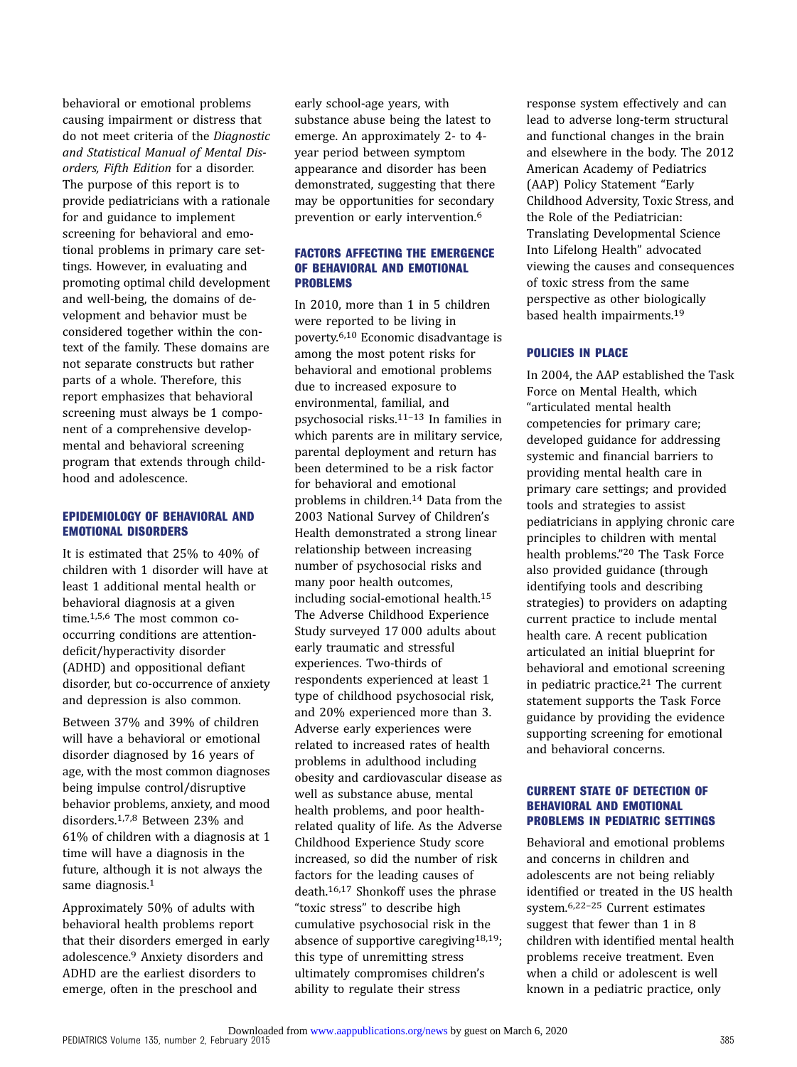behavioral or emotional problems causing impairment or distress that do not meet criteria of the Diagnostic and Statistical Manual of Mental Disorders, Fifth Edition for a disorder. The purpose of this report is to provide pediatricians with a rationale for and guidance to implement screening for behavioral and emotional problems in primary care settings. However, in evaluating and promoting optimal child development and well-being, the domains of development and behavior must be considered together within the context of the family. These domains are not separate constructs but rather parts of a whole. Therefore, this report emphasizes that behavioral screening must always be 1 component of a comprehensive developmental and behavioral screening program that extends through childhood and adolescence.

#### EPIDEMIOLOGY OF BEHAVIORAL AND EMOTIONAL DISORDERS

It is estimated that 25% to 40% of children with 1 disorder will have at least 1 additional mental health or behavioral diagnosis at a given time.1,5,6 The most common cooccurring conditions are attentiondeficit/hyperactivity disorder (ADHD) and oppositional defiant disorder, but co-occurrence of anxiety and depression is also common.

Between 37% and 39% of children will have a behavioral or emotional disorder diagnosed by 16 years of age, with the most common diagnoses being impulse control/disruptive behavior problems, anxiety, and mood disorders.1,7,8 Between 23% and 61% of children with a diagnosis at 1 time will have a diagnosis in the future, although it is not always the same diagnosis.<sup>1</sup>

Approximately 50% of adults with behavioral health problems report that their disorders emerged in early adolescence.9 Anxiety disorders and ADHD are the earliest disorders to emerge, often in the preschool and

early school-age years, with substance abuse being the latest to emerge. An approximately 2- to 4 year period between symptom appearance and disorder has been demonstrated, suggesting that there may be opportunities for secondary prevention or early intervention.6

#### FACTORS AFFECTING THE EMERGENCE OF BEHAVIORAL AND EMOTIONAL PROBLEMS

In 2010, more than 1 in 5 children were reported to be living in poverty.6,10 Economic disadvantage is among the most potent risks for behavioral and emotional problems due to increased exposure to environmental, familial, and psychosocial risks.11–<sup>13</sup> In families in which parents are in military service, parental deployment and return has been determined to be a risk factor for behavioral and emotional problems in children.14 Data from the 2003 National Survey of Children's Health demonstrated a strong linear relationship between increasing number of psychosocial risks and many poor health outcomes, including social-emotional health.15 The Adverse Childhood Experience Study surveyed 17 000 adults about early traumatic and stressful experiences. Two-thirds of respondents experienced at least 1 type of childhood psychosocial risk, and 20% experienced more than 3. Adverse early experiences were related to increased rates of health problems in adulthood including obesity and cardiovascular disease as well as substance abuse, mental health problems, and poor healthrelated quality of life. As the Adverse Childhood Experience Study score increased, so did the number of risk factors for the leading causes of death.16,17 Shonkoff uses the phrase "toxic stress" to describe high cumulative psychosocial risk in the absence of supportive caregiving18,19; this type of unremitting stress ultimately compromises children's ability to regulate their stress

response system effectively and can lead to adverse long-term structural and functional changes in the brain and elsewhere in the body. The 2012 American Academy of Pediatrics (AAP) Policy Statement "Early Childhood Adversity, Toxic Stress, and the Role of the Pediatrician: Translating Developmental Science Into Lifelong Health" advocated viewing the causes and consequences of toxic stress from the same perspective as other biologically based health impairments.19

#### POLICIES IN PLACE

In 2004, the AAP established the Task Force on Mental Health, which "articulated mental health competencies for primary care; developed guidance for addressing systemic and financial barriers to providing mental health care in primary care settings; and provided tools and strategies to assist pediatricians in applying chronic care principles to children with mental health problems."20 The Task Force also provided guidance (through identifying tools and describing strategies) to providers on adapting current practice to include mental health care. A recent publication articulated an initial blueprint for behavioral and emotional screening in pediatric practice. $21$  The current statement supports the Task Force guidance by providing the evidence supporting screening for emotional and behavioral concerns.

#### CURRENT STATE OF DETECTION OF BEHAVIORAL AND EMOTIONAL PROBLEMS IN PEDIATRIC SETTINGS

Behavioral and emotional problems and concerns in children and adolescents are not being reliably identified or treated in the US health system.6,22–<sup>25</sup> Current estimates suggest that fewer than 1 in 8 children with identified mental health problems receive treatment. Even when a child or adolescent is well known in a pediatric practice, only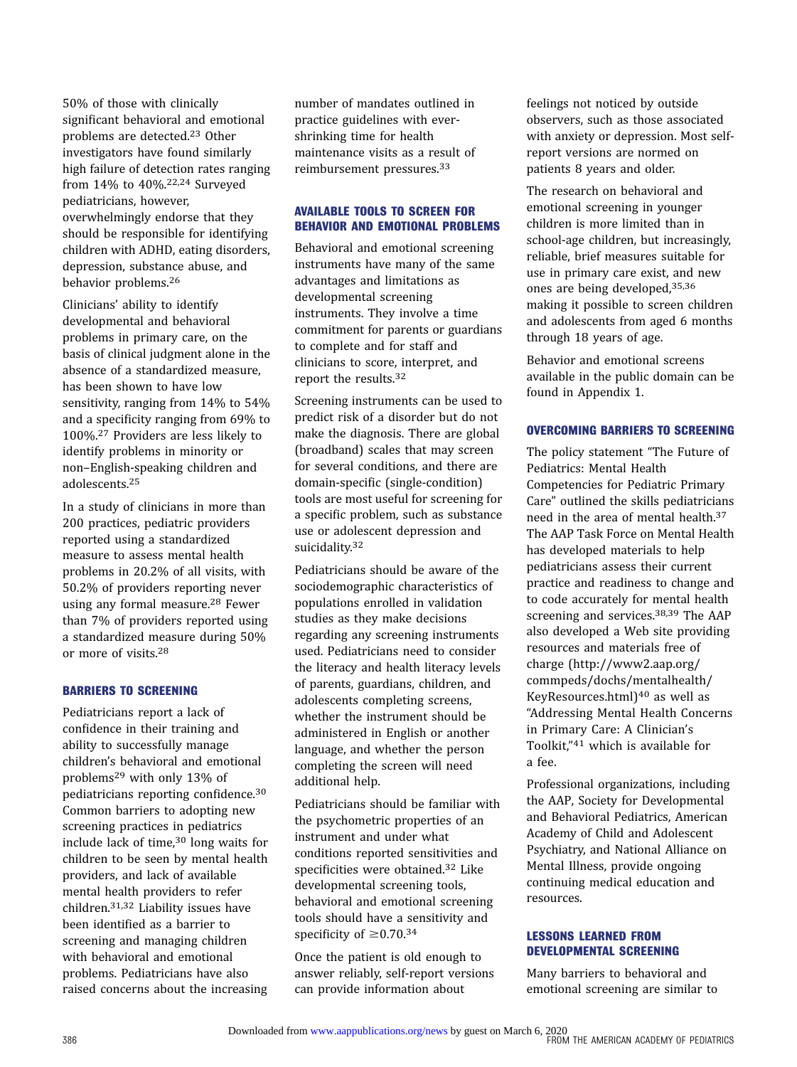50% of those with clinically significant behavioral and emotional problems are detected.23 Other investigators have found similarly high failure of detection rates ranging from 14% to 40%.22,24 Surveyed pediatricians, however, overwhelmingly endorse that they should be responsible for identifying children with ADHD, eating disorders, depression, substance abuse, and behavior problems.26

Clinicians' ability to identify developmental and behavioral problems in primary care, on the basis of clinical judgment alone in the absence of a standardized measure, has been shown to have low sensitivity, ranging from 14% to 54% and a specificity ranging from 69% to 100%.27 Providers are less likely to identify problems in minority or non–English-speaking children and adolescents.25

In a study of clinicians in more than 200 practices, pediatric providers reported using a standardized measure to assess mental health problems in 20.2% of all visits, with 50.2% of providers reporting never using any formal measure.28 Fewer than 7% of providers reported using a standardized measure during 50% or more of visits.28

#### BARRIERS TO SCREENING

Pediatricians report a lack of confidence in their training and ability to successfully manage children's behavioral and emotional problems29 with only 13% of pediatricians reporting confidence.30 Common barriers to adopting new screening practices in pediatrics include lack of time,30 long waits for children to be seen by mental health providers, and lack of available mental health providers to refer children.31,32 Liability issues have been identified as a barrier to screening and managing children with behavioral and emotional problems. Pediatricians have also raised concerns about the increasing number of mandates outlined in practice guidelines with evershrinking time for health maintenance visits as a result of reimbursement pressures.33

#### AVAILABLE TOOLS TO SCREEN FOR BEHAVIOR AND EMOTIONAL PROBLEMS

Behavioral and emotional screening instruments have many of the same advantages and limitations as developmental screening instruments. They involve a time commitment for parents or guardians to complete and for staff and clinicians to score, interpret, and report the results.32

Screening instruments can be used to predict risk of a disorder but do not make the diagnosis. There are global (broadband) scales that may screen for several conditions, and there are domain-specific (single-condition) tools are most useful for screening for a specific problem, such as substance use or adolescent depression and suicidality.32

Pediatricians should be aware of the sociodemographic characteristics of populations enrolled in validation studies as they make decisions regarding any screening instruments used. Pediatricians need to consider the literacy and health literacy levels of parents, guardians, children, and adolescents completing screens, whether the instrument should be administered in English or another language, and whether the person completing the screen will need additional help.

Pediatricians should be familiar with the psychometric properties of an instrument and under what conditions reported sensitivities and specificities were obtained.<sup>32</sup> Like developmental screening tools, behavioral and emotional screening tools should have a sensitivity and specificity of  $\geq$  0.70.<sup>34</sup>

Once the patient is old enough to answer reliably, self-report versions can provide information about

feelings not noticed by outside observers, such as those associated with anxiety or depression. Most selfreport versions are normed on patients 8 years and older.

The research on behavioral and emotional screening in younger children is more limited than in school-age children, but increasingly, reliable, brief measures suitable for use in primary care exist, and new ones are being developed,35,36 making it possible to screen children and adolescents from aged 6 months through 18 years of age.

Behavior and emotional screens available in the public domain can be found in Appendix 1.

#### OVERCOMING BARRIERS TO SCREENING

The policy statement "The Future of Pediatrics: Mental Health Competencies for Pediatric Primary Care" outlined the skills pediatricians need in the area of mental health.37 The AAP Task Force on Mental Health has developed materials to help pediatricians assess their current practice and readiness to change and to code accurately for mental health screening and services.38,39 The AAP also developed a Web site providing resources and materials free of charge ([http://www2.aap.org/](http://www2.aap.org/commpeds/dochs/mentalhealth/KeyResources.html) [commpeds/dochs/mentalhealth/](http://www2.aap.org/commpeds/dochs/mentalhealth/KeyResources.html) [KeyResources.html](http://www2.aap.org/commpeds/dochs/mentalhealth/KeyResources.html))40 as well as "Addressing Mental Health Concerns in Primary Care: A Clinician's Toolkit,"41 which is available for a fee.

Professional organizations, including the AAP, Society for Developmental and Behavioral Pediatrics, American Academy of Child and Adolescent Psychiatry, and National Alliance on Mental Illness, provide ongoing continuing medical education and resources.

#### LESSONS LEARNED FROM DEVELOPMENTAL SCREENING

Many barriers to behavioral and emotional screening are similar to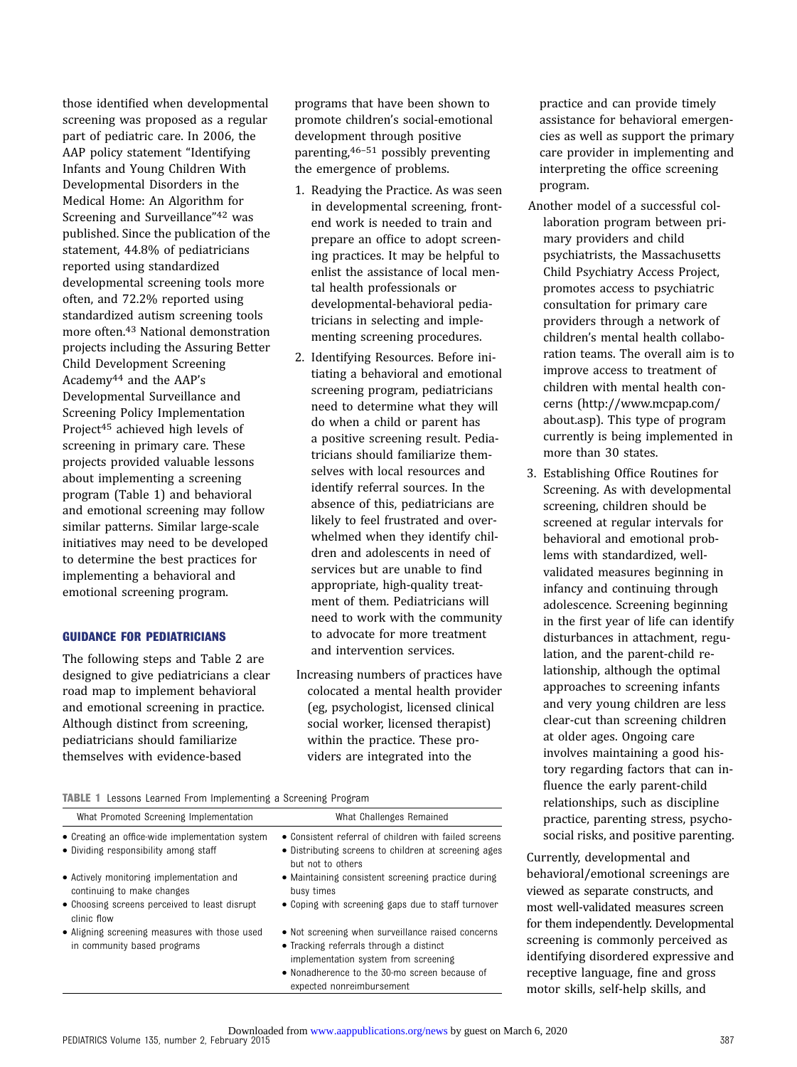those identified when developmental screening was proposed as a regular part of pediatric care. In 2006, the AAP policy statement "Identifying Infants and Young Children With Developmental Disorders in the Medical Home: An Algorithm for Screening and Surveillance"42 was published. Since the publication of the statement, 44.8% of pediatricians reported using standardized developmental screening tools more often, and 72.2% reported using standardized autism screening tools more often.43 National demonstration projects including the Assuring Better Child Development Screening Academy44 and the AAP's Developmental Surveillance and Screening Policy Implementation Project<sup>45</sup> achieved high levels of screening in primary care. These projects provided valuable lessons about implementing a screening program (Table 1) and behavioral and emotional screening may follow similar patterns. Similar large-scale initiatives may need to be developed to determine the best practices for implementing a behavioral and emotional screening program.

#### GUIDANCE FOR PEDIATRICIANS

The following steps and Table 2 are designed to give pediatricians a clear road map to implement behavioral and emotional screening in practice. Although distinct from screening, pediatricians should familiarize themselves with evidence-based

programs that have been shown to promote children's social-emotional development through positive parenting,46–<sup>51</sup> possibly preventing the emergence of problems.

- 1. Readying the Practice. As was seen in developmental screening, frontend work is needed to train and prepare an office to adopt screening practices. It may be helpful to enlist the assistance of local mental health professionals or developmental-behavioral pediatricians in selecting and implementing screening procedures.
- 2. Identifying Resources. Before initiating a behavioral and emotional screening program, pediatricians need to determine what they will do when a child or parent has a positive screening result. Pediatricians should familiarize themselves with local resources and identify referral sources. In the absence of this, pediatricians are likely to feel frustrated and overwhelmed when they identify children and adolescents in need of services but are unable to find appropriate, high-quality treatment of them. Pediatricians will need to work with the community to advocate for more treatment and intervention services.
- Increasing numbers of practices have colocated a mental health provider (eg, psychologist, licensed clinical social worker, licensed therapist) within the practice. These providers are integrated into the

practice and can provide timely assistance for behavioral emergencies as well as support the primary care provider in implementing and interpreting the office screening program.

- Another model of a successful collaboration program between primary providers and child psychiatrists, the Massachusetts Child Psychiatry Access Project, promotes access to psychiatric consultation for primary care providers through a network of children's mental health collaboration teams. The overall aim is to improve access to treatment of children with mental health concerns [\(http://www.mcpap.com/](http://www.mcpap.com/about.asp) [about.asp\)](http://www.mcpap.com/about.asp). This type of program currently is being implemented in more than 30 states.
- 3. Establishing Office Routines for Screening. As with developmental screening, children should be screened at regular intervals for behavioral and emotional problems with standardized, wellvalidated measures beginning in infancy and continuing through adolescence. Screening beginning in the first year of life can identify disturbances in attachment, regulation, and the parent-child relationship, although the optimal approaches to screening infants and very young children are less clear-cut than screening children at older ages. Ongoing care involves maintaining a good history regarding factors that can influence the early parent-child relationships, such as discipline practice, parenting stress, psychosocial risks, and positive parenting.

Currently, developmental and behavioral/emotional screenings are viewed as separate constructs, and most well-validated measures screen for them independently. Developmental screening is commonly perceived as identifying disordered expressive and receptive language, fine and gross motor skills, self-help skills, and

| <b>TABLE 1</b> Lessons Learned From Implementing a Screening Program |  |
|----------------------------------------------------------------------|--|
|----------------------------------------------------------------------|--|

| What Promoted Screening Implementation                                                                                                 | What Challenges Remained                                                                                                                                                                                           |
|----------------------------------------------------------------------------------------------------------------------------------------|--------------------------------------------------------------------------------------------------------------------------------------------------------------------------------------------------------------------|
| • Creating an office-wide implementation system<br>• Dividing responsibility among staff                                               | • Consistent referral of children with failed screens<br>• Distributing screens to children at screening ages<br>but not to others                                                                                 |
| • Actively monitoring implementation and<br>continuing to make changes<br>• Choosing screens perceived to least disrupt<br>clinic flow | • Maintaining consistent screening practice during<br>busy times<br>• Coping with screening gaps due to staff turnover                                                                                             |
| • Aligning screening measures with those used<br>in community based programs                                                           | • Not screening when surveillance raised concerns<br>• Tracking referrals through a distinct<br>implementation system from screening<br>• Nonadherence to the 30-mo screen because of<br>expected nonreimbursement |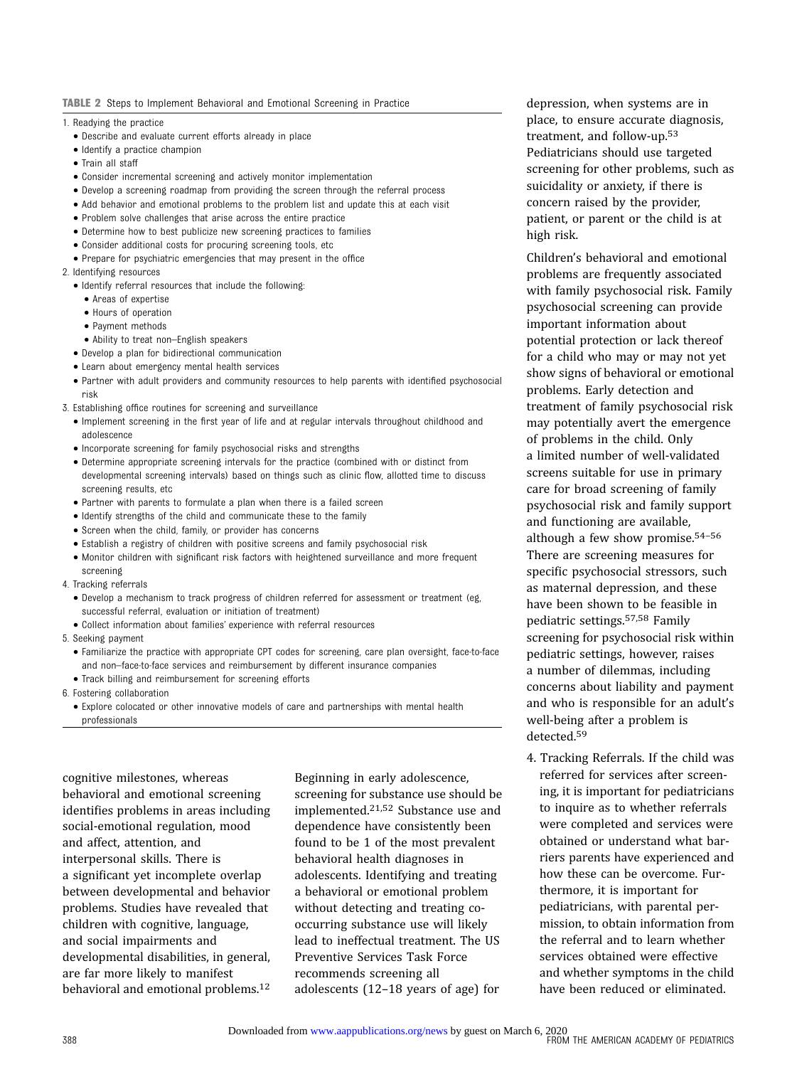#### TABLE 2 Steps to Implement Behavioral and Emotional Screening in Practice

- 1. Readying the practice
	- Describe and evaluate current efforts already in place
	- Identify a practice champion
	- Train all staff
	- Consider incremental screening and actively monitor implementation
	- Develop a screening roadmap from providing the screen through the referral process
	- Add behavior and emotional problems to the problem list and update this at each visit
	- Problem solve challenges that arise across the entire practice
	- Determine how to best publicize new screening practices to families
	- Consider additional costs for procuring screening tools, etc
	- Prepare for psychiatric emergencies that may present in the office

2. Identifying resources

- Identify referral resources that include the following:
	- Areas of expertise
	- Hours of operation
	- Payment methods
	- Ability to treat non–English speakers
- Develop a plan for bidirectional communication
- Learn about emergency mental health services
- Partner with adult providers and community resources to help parents with identified psychosocial risk

3. Establishing office routines for screening and surveillance

- Implement screening in the first year of life and at regular intervals throughout childhood and adolescence
- Incorporate screening for family psychosocial risks and strengths
- Determine appropriate screening intervals for the practice (combined with or distinct from developmental screening intervals) based on things such as clinic flow, allotted time to discuss screening results, etc
- Partner with parents to formulate a plan when there is a failed screen
- Identify strengths of the child and communicate these to the family
- Screen when the child, family, or provider has concerns
- Establish a registry of children with positive screens and family psychosocial risk
- Monitor children with significant risk factors with heightened surveillance and more frequent screening
- 4. Tracking referrals
	- Develop a mechanism to track progress of children referred for assessment or treatment (eg, successful referral, evaluation or initiation of treatment)
- Collect information about families' experience with referral resources
- 5. Seeking payment
	- Familiarize the practice with appropriate CPT codes for screening, care plan oversight, face-to-face and non–face-to-face services and reimbursement by different insurance companies
	- Track billing and reimbursement for screening efforts
- 6. Fostering collaboration
- Explore colocated or other innovative models of care and partnerships with mental health professionals

cognitive milestones, whereas behavioral and emotional screening identifies problems in areas including social-emotional regulation, mood and affect, attention, and interpersonal skills. There is a significant yet incomplete overlap between developmental and behavior problems. Studies have revealed that children with cognitive, language, and social impairments and developmental disabilities, in general, are far more likely to manifest behavioral and emotional problems.12 Beginning in early adolescence, screening for substance use should be implemented.21,52 Substance use and dependence have consistently been found to be 1 of the most prevalent behavioral health diagnoses in adolescents. Identifying and treating a behavioral or emotional problem without detecting and treating cooccurring substance use will likely lead to ineffectual treatment. The US Preventive Services Task Force recommends screening all adolescents (12–18 years of age) for

depression, when systems are in place, to ensure accurate diagnosis, treatment, and follow-up.53 Pediatricians should use targeted screening for other problems, such as suicidality or anxiety, if there is concern raised by the provider, patient, or parent or the child is at high risk.

Children's behavioral and emotional problems are frequently associated with family psychosocial risk. Family psychosocial screening can provide important information about potential protection or lack thereof for a child who may or may not yet show signs of behavioral or emotional problems. Early detection and treatment of family psychosocial risk may potentially avert the emergence of problems in the child. Only a limited number of well-validated screens suitable for use in primary care for broad screening of family psychosocial risk and family support and functioning are available, although a few show promise.54–<sup>56</sup> There are screening measures for specific psychosocial stressors, such as maternal depression, and these have been shown to be feasible in pediatric settings.57,58 Family screening for psychosocial risk within pediatric settings, however, raises a number of dilemmas, including concerns about liability and payment and who is responsible for an adult's well-being after a problem is detected.59

4. Tracking Referrals. If the child was referred for services after screening, it is important for pediatricians to inquire as to whether referrals were completed and services were obtained or understand what barriers parents have experienced and how these can be overcome. Furthermore, it is important for pediatricians, with parental permission, to obtain information from the referral and to learn whether services obtained were effective and whether symptoms in the child have been reduced or eliminated.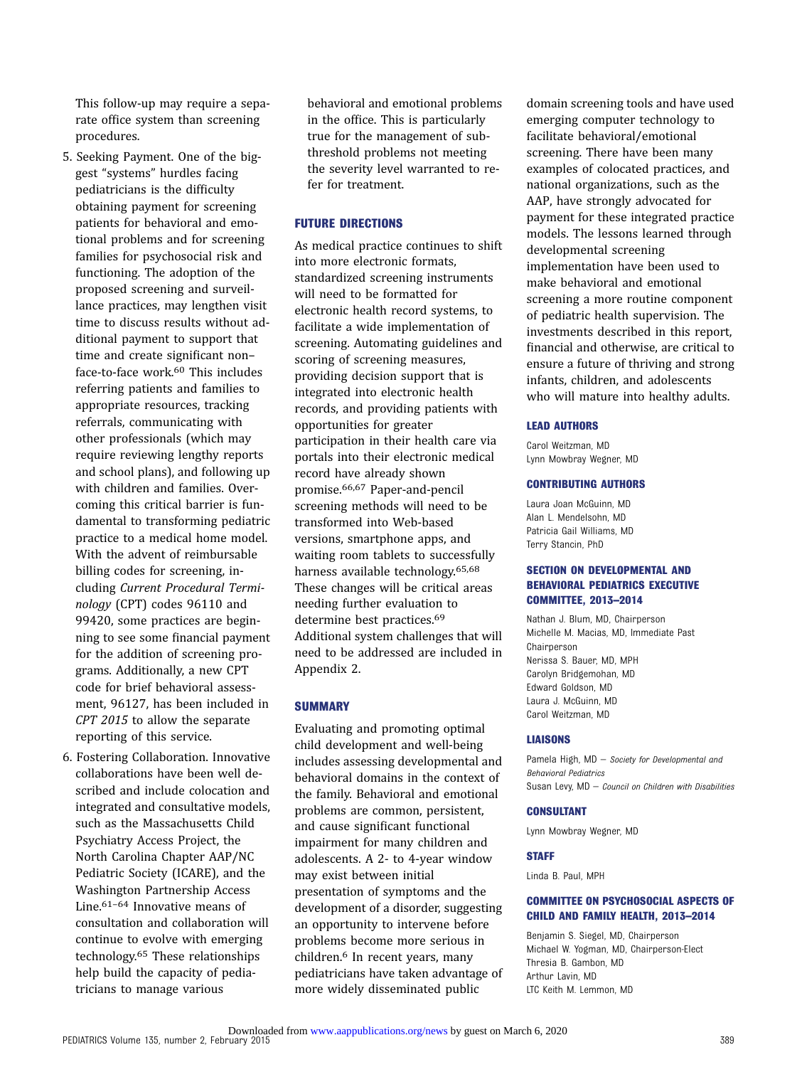This follow-up may require a separate office system than screening procedures.

- 5. Seeking Payment. One of the biggest "systems" hurdles facing pediatricians is the difficulty obtaining payment for screening patients for behavioral and emotional problems and for screening families for psychosocial risk and functioning. The adoption of the proposed screening and surveillance practices, may lengthen visit time to discuss results without additional payment to support that time and create significant non– face-to-face work.<sup>60</sup> This includes referring patients and families to appropriate resources, tracking referrals, communicating with other professionals (which may require reviewing lengthy reports and school plans), and following up with children and families. Overcoming this critical barrier is fundamental to transforming pediatric practice to a medical home model. With the advent of reimbursable billing codes for screening, including Current Procedural Terminology (CPT) codes 96110 and 99420, some practices are beginning to see some financial payment for the addition of screening programs. Additionally, a new CPT code for brief behavioral assessment, 96127, has been included in CPT 2015 to allow the separate reporting of this service.
- 6. Fostering Collaboration. Innovative collaborations have been well described and include colocation and integrated and consultative models, such as the Massachusetts Child Psychiatry Access Project, the North Carolina Chapter AAP/NC Pediatric Society (ICARE), and the Washington Partnership Access Line.61–<sup>64</sup> Innovative means of consultation and collaboration will continue to evolve with emerging technology.65 These relationships help build the capacity of pediatricians to manage various

behavioral and emotional problems in the office. This is particularly true for the management of subthreshold problems not meeting the severity level warranted to refer for treatment.

#### FUTURE DIRECTIONS

As medical practice continues to shift into more electronic formats, standardized screening instruments will need to be formatted for electronic health record systems, to facilitate a wide implementation of screening. Automating guidelines and scoring of screening measures, providing decision support that is integrated into electronic health records, and providing patients with opportunities for greater participation in their health care via portals into their electronic medical record have already shown promise.66,67 Paper-and-pencil screening methods will need to be transformed into Web-based versions, smartphone apps, and waiting room tablets to successfully harness available technology.65,68 These changes will be critical areas needing further evaluation to determine best practices.69 Additional system challenges that will need to be addressed are included in Appendix 2.

#### **SUMMARY**

Evaluating and promoting optimal child development and well-being includes assessing developmental and behavioral domains in the context of the family. Behavioral and emotional problems are common, persistent, and cause significant functional impairment for many children and adolescents. A 2- to 4-year window may exist between initial presentation of symptoms and the development of a disorder, suggesting an opportunity to intervene before problems become more serious in children.6 In recent years, many pediatricians have taken advantage of more widely disseminated public

domain screening tools and have used emerging computer technology to facilitate behavioral/emotional screening. There have been many examples of colocated practices, and national organizations, such as the AAP, have strongly advocated for payment for these integrated practice models. The lessons learned through developmental screening implementation have been used to make behavioral and emotional screening a more routine component of pediatric health supervision. The investments described in this report, financial and otherwise, are critical to ensure a future of thriving and strong infants, children, and adolescents who will mature into healthy adults.

#### LEAD AUTHORS

Carol Weitzman, MD Lynn Mowbray Wegner, MD

#### CONTRIBUTING AUTHORS

Laura Joan McGuinn, MD Alan L. Mendelsohn, MD Patricia Gail Williams, MD Terry Stancin, PhD

#### SECTION ON DEVELOPMENTAL AND BEHAVIORAL PEDIATRICS EXECUTIVE COMMITTEE, 2013–2014

Nathan J. Blum, MD, Chairperson Michelle M. Macias, MD, Immediate Past Chairperson Nerissa S. Bauer, MD, MPH Carolyn Bridgemohan, MD Edward Goldson, MD Laura J. McGuinn, MD Carol Weitzman, MD

#### LIAISONS

Pamela High, MD – Society for Developmental and Behavioral Pediatrics Susan Levy, MD – Council on Children with Disabilities

#### CONSULTANT

Lynn Mowbray Wegner, MD

#### **STAFF**

Linda B. Paul, MPH

#### COMMITTEE ON PSYCHOSOCIAL ASPECTS OF CHILD AND FAMILY HEALTH, 2013–2014

Benjamin S. Siegel, MD, Chairperson Michael W. Yogman, MD, Chairperson-Elect Thresia B. Gambon, MD Arthur Lavin, MD LTC Keith M. Lemmon, MD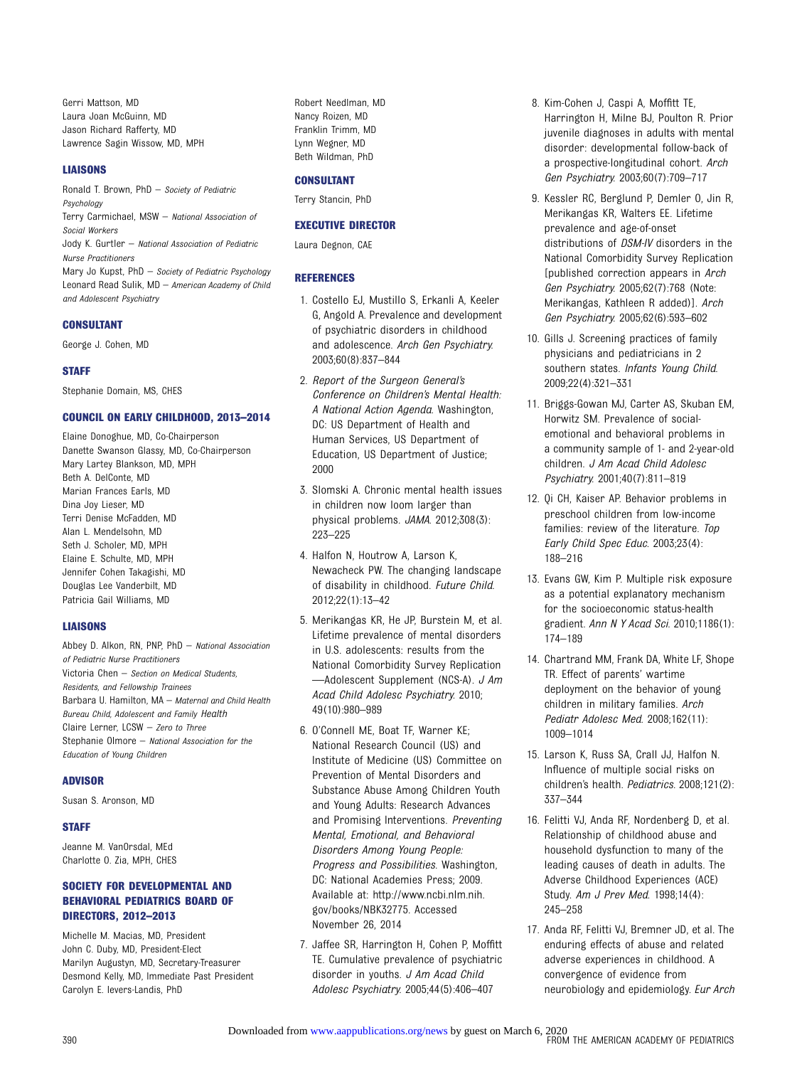Gerri Mattson, MD Laura Joan McGuinn, MD Jason Richard Rafferty, MD Lawrence Sagin Wissow, MD, MPH

#### **LIAISONS**

Ronald T. Brown, PhD – Society of Pediatric Psychology Terry Carmichael, MSW – National Association of Social Workers Jody K. Gurtler – National Association of Pediatric Nurse Practitioners Mary Jo Kupst, PhD - Society of Pediatric Psychology Leonard Read Sulik, MD – American Academy of Child and Adolescent Psychiatry

#### **CONSULTANT**

George J. Cohen, MD

#### **STAFF**

Stephanie Domain, MS, CHES

#### COUNCIL ON EARLY CHILDHOOD, 2013–2014

Elaine Donoghue, MD, Co-Chairperson Danette Swanson Glassy, MD, Co-Chairperson Mary Lartey Blankson, MD, MPH Beth A. DelConte, MD Marian Frances Earls, MD Dina Joy Lieser, MD Terri Denise McFadden, MD Alan L. Mendelsohn, MD Seth J. Scholer, MD, MPH Elaine E. Schulte, MD, MPH Jennifer Cohen Takagishi, MD Douglas Lee Vanderbilt, MD Patricia Gail Williams, MD

#### LIAISONS

Abbey D. Alkon, RN, PNP, PhD – National Association of Pediatric Nurse Practitioners Victoria Chen – Section on Medical Students, Residents, and Fellowship Trainees Barbara U. Hamilton, MA – Maternal and Child Health Bureau Child, Adolescent and Family Health Claire Lerner, LCSW – Zero to Three Stephanie Olmore – National Association for the Education of Young Children

#### ADVISOR

Susan S. Aronson, MD

#### **STAFF**

Jeanne M. VanOrsdal, MEd Charlotte O. Zia, MPH, CHES

#### SOCIETY FOR DEVELOPMENTAL AND BEHAVIORAL PEDIATRICS BOARD OF DIRECTORS, 2012–2013

Michelle M. Macias, MD, President John C. Duby, MD, President-Elect Marilyn Augustyn, MD, Secretary-Treasurer Desmond Kelly, MD, Immediate Past President Carolyn E. Ievers-Landis, PhD

Robert Needlman, MD Nancy Roizen, MD Franklin Trimm, MD Lynn Wegner, MD Beth Wildman, PhD

#### CONSULTANT

Terry Stancin, PhD

#### EXECUTIVE DIRECTOR

Laura Degnon, CAE

#### **REFERENCES**

- 1. Costello EJ, Mustillo S, Erkanli A, Keeler G, Angold A. Prevalence and development of psychiatric disorders in childhood and adolescence. Arch Gen Psychiatry. 2003;60(8):837–844
- 2. Report of the Surgeon General's Conference on Children's Mental Health: A National Action Agenda. Washington, DC: US Department of Health and Human Services, US Department of Education, US Department of Justice; 2000
- 3. Slomski A. Chronic mental health issues in children now loom larger than physical problems. JAMA. 2012;308(3): 223–225
- 4. Halfon N, Houtrow A, Larson K, Newacheck PW. The changing landscape of disability in childhood. Future Child. 2012;22(1):13–42
- 5. Merikangas KR, He JP, Burstein M, et al. Lifetime prevalence of mental disorders in U.S. adolescents: results from the National Comorbidity Survey Replication —Adolescent Supplement (NCS-A). J Am Acad Child Adolesc Psychiatry. 2010; 49(10):980–989
- 6. O'Connell ME, Boat TF, Warner KE; National Research Council (US) and Institute of Medicine (US) Committee on Prevention of Mental Disorders and Substance Abuse Among Children Youth and Young Adults: Research Advances and Promising Interventions. Preventing Mental, Emotional, and Behavioral Disorders Among Young People: Progress and Possibilities. Washington, DC: National Academies Press; 2009. Available at: [http://www.ncbi.nlm.nih.](http://www.ncbi.nlm.nih.gov/books/NBK32775.AccessedNovember26,2014) [gov/books/NBK32775. Accessed](http://www.ncbi.nlm.nih.gov/books/NBK32775.AccessedNovember26,2014) [November 26, 2014](http://www.ncbi.nlm.nih.gov/books/NBK32775.AccessedNovember26,2014)
- 7. Jaffee SR, Harrington H, Cohen P, Moffitt TE. Cumulative prevalence of psychiatric disorder in youths. J Am Acad Child Adolesc Psychiatry. 2005;44(5):406–407
- 8. Kim-Cohen J, Caspi A, Moffitt TE, Harrington H, Milne BJ, Poulton R. Prior juvenile diagnoses in adults with mental disorder: developmental follow-back of a prospective-longitudinal cohort. Arch Gen Psychiatry. 2003;60(7):709–717
- 9. Kessler RC, Berglund P, Demler O, Jin R, Merikangas KR, Walters EE. Lifetime prevalence and age-of-onset distributions of DSM-IV disorders in the National Comorbidity Survey Replication [published correction appears in Arch Gen Psychiatry. 2005;62(7):768 (Note: Merikangas, Kathleen R added)]. Arch Gen Psychiatry. 2005;62(6):593–602
- 10. Gills J. Screening practices of family physicians and pediatricians in 2 southern states. Infants Young Child. 2009;22(4):321–331
- 11. Briggs-Gowan MJ, Carter AS, Skuban EM, Horwitz SM. Prevalence of socialemotional and behavioral problems in a community sample of 1- and 2-year-old children. J Am Acad Child Adolesc Psychiatry. 2001;40(7):811–819
- 12. Qi CH, Kaiser AP. Behavior problems in preschool children from low-income families: review of the literature. Top Early Child Spec Educ. 2003;23(4): 188–216
- 13. Evans GW, Kim P. Multiple risk exposure as a potential explanatory mechanism for the socioeconomic status-health gradient. Ann N Y Acad Sci. 2010;1186(1): 174–189
- 14. Chartrand MM, Frank DA, White LF, Shope TR. Effect of parents' wartime deployment on the behavior of young children in military families. Arch Pediatr Adolesc Med. 2008;162(11): 1009–1014
- 15. Larson K, Russ SA, Crall JJ, Halfon N. Influence of multiple social risks on children's health. Pediatrics. 2008;121(2): 337–344
- 16. Felitti VJ, Anda RF, Nordenberg D, et al. Relationship of childhood abuse and household dysfunction to many of the leading causes of death in adults. The Adverse Childhood Experiences (ACE) Study. Am J Prev Med. 1998;14(4): 245–258
- 17. Anda RF, Felitti VJ, Bremner JD, et al. The enduring effects of abuse and related adverse experiences in childhood. A convergence of evidence from neurobiology and epidemiology. Eur Arch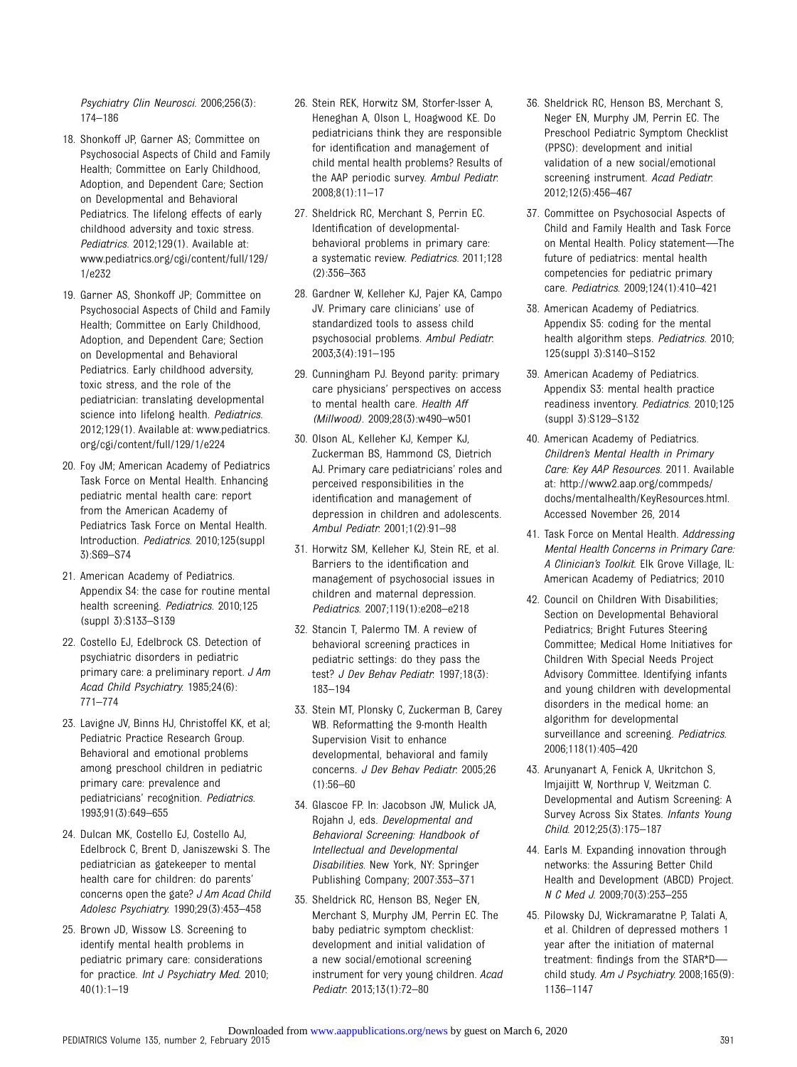Psychiatry Clin Neurosci. 2006;256(3): 174–186

- 18. Shonkoff JP, Garner AS; Committee on Psychosocial Aspects of Child and Family Health; Committee on Early Childhood, Adoption, and Dependent Care; Section on Developmental and Behavioral Pediatrics. The lifelong effects of early childhood adversity and toxic stress. Pediatrics. 2012;129(1). Available at: [www.pediatrics.org/cgi/content/full/129/](http://www.pediatrics.org/cgi/content/full/129/1/e232) [1/e232](http://www.pediatrics.org/cgi/content/full/129/1/e232)
- 19. Garner AS, Shonkoff JP; Committee on Psychosocial Aspects of Child and Family Health; Committee on Early Childhood, Adoption, and Dependent Care; Section on Developmental and Behavioral Pediatrics. Early childhood adversity, toxic stress, and the role of the pediatrician: translating developmental science into lifelong health. Pediatrics. 2012;129(1). Available at: [www.pediatrics.](http://www.pediatrics.org/cgi/content/full/129/1/e224) [org/cgi/content/full/129/1/e224](http://www.pediatrics.org/cgi/content/full/129/1/e224)
- 20. Foy JM; American Academy of Pediatrics Task Force on Mental Health. Enhancing pediatric mental health care: report from the American Academy of Pediatrics Task Force on Mental Health. Introduction. Pediatrics. 2010;125(suppl 3):S69–S74
- 21. American Academy of Pediatrics. Appendix S4: the case for routine mental health screening. Pediatrics. 2010;125 (suppl 3):S133–S139
- 22. Costello EJ, Edelbrock CS. Detection of psychiatric disorders in pediatric primary care: a preliminary report. J Am Acad Child Psychiatry. 1985;24(6): 771–774
- 23. Lavigne JV, Binns HJ, Christoffel KK, et al; Pediatric Practice Research Group. Behavioral and emotional problems among preschool children in pediatric primary care: prevalence and pediatricians' recognition. Pediatrics. 1993;91(3):649–655
- 24. Dulcan MK, Costello EJ, Costello AJ, Edelbrock C, Brent D, Janiszewski S. The pediatrician as gatekeeper to mental health care for children: do parents' concerns open the gate? J Am Acad Child Adolesc Psychiatry. 1990;29(3):453–458
- 25. Brown JD, Wissow LS. Screening to identify mental health problems in pediatric primary care: considerations for practice. Int J Psychiatry Med. 2010;  $40(1):1-19$
- 26. Stein REK, Horwitz SM, Storfer-Isser A, Heneghan A, Olson L, Hoagwood KE. Do pediatricians think they are responsible for identification and management of child mental health problems? Results of the AAP periodic survey. Ambul Pediatr. 2008;8(1):11–17
- 27. Sheldrick RC, Merchant S, Perrin EC. Identification of developmentalbehavioral problems in primary care: a systematic review. Pediatrics. 2011;128 (2):356–363
- 28. Gardner W, Kelleher KJ, Pajer KA, Campo JV. Primary care clinicians' use of standardized tools to assess child psychosocial problems. Ambul Pediatr. 2003;3(4):191–195
- 29. Cunningham PJ. Beyond parity: primary care physicians' perspectives on access to mental health care. Health Aff (Millwood). 2009;28(3):w490–w501
- 30. Olson AL, Kelleher KJ, Kemper KJ, Zuckerman BS, Hammond CS, Dietrich AJ. Primary care pediatricians' roles and perceived responsibilities in the identification and management of depression in children and adolescents. Ambul Pediatr. 2001;1(2):91–98
- 31. Horwitz SM, Kelleher KJ, Stein RE, et al. Barriers to the identification and management of psychosocial issues in children and maternal depression. Pediatrics. 2007;119(1):e208–e218
- 32. Stancin T, Palermo TM. A review of behavioral screening practices in pediatric settings: do they pass the test? J Dev Behav Pediatr. 1997;18(3): 183–194
- 33. Stein MT, Plonsky C, Zuckerman B, Carey WB. Reformatting the 9-month Health Supervision Visit to enhance developmental, behavioral and family concerns. J Dev Behav Pediatr. 2005;26 (1):56–60
- 34. Glascoe FP. In: Jacobson JW, Mulick JA, Rojahn J, eds. Developmental and Behavioral Screening: Handbook of Intellectual and Developmental Disabilities. New York, NY: Springer Publishing Company; 2007:353–371
- 35. Sheldrick RC, Henson BS, Neger EN, Merchant S, Murphy JM, Perrin EC. The baby pediatric symptom checklist: development and initial validation of a new social/emotional screening instrument for very young children. Acad Pediatr. 2013;13(1):72–80
- 36. Sheldrick RC, Henson BS, Merchant S, Neger EN, Murphy JM, Perrin EC. The Preschool Pediatric Symptom Checklist (PPSC): development and initial validation of a new social/emotional screening instrument. Acad Pediatr. 2012;12(5):456–467
- 37. Committee on Psychosocial Aspects of Child and Family Health and Task Force on Mental Health. Policy statement—The future of pediatrics: mental health competencies for pediatric primary care. Pediatrics. 2009;124(1):410–421
- 38. American Academy of Pediatrics. Appendix S5: coding for the mental health algorithm steps. Pediatrics. 2010; 125(suppl 3):S140–S152
- 39. American Academy of Pediatrics. Appendix S3: mental health practice readiness inventory. Pediatrics. 2010;125 (suppl 3):S129–S132
- 40. American Academy of Pediatrics. Children's Mental Health in Primary Care: Key AAP Resources. 2011. Available at: [http://www2.aap.org/commpeds/](http://www2.aap.org/commpeds/dochs/mentalhealth/KeyResources.html) [dochs/mentalhealth/KeyResources.html.](http://www2.aap.org/commpeds/dochs/mentalhealth/KeyResources.html) Accessed November 26, 2014
- 41. Task Force on Mental Health. Addressing Mental Health Concerns in Primary Care: A Clinician's Toolkit. Elk Grove Village, IL: American Academy of Pediatrics; 2010
- 42. Council on Children With Disabilities; Section on Developmental Behavioral Pediatrics; Bright Futures Steering Committee; Medical Home Initiatives for Children With Special Needs Project Advisory Committee. Identifying infants and young children with developmental disorders in the medical home: an algorithm for developmental surveillance and screening. Pediatrics. 2006;118(1):405–420
- 43. Arunyanart A, Fenick A, Ukritchon S, Imjaijitt W, Northrup V, Weitzman C. Developmental and Autism Screening: A Survey Across Six States. Infants Young Child. 2012;25(3):175–187
- 44. Earls M. Expanding innovation through networks: the Assuring Better Child Health and Development (ABCD) Project. N C Med J. 2009;70(3):253–255
- 45. Pilowsky DJ, Wickramaratne P, Talati A, et al. Children of depressed mothers 1 year after the initiation of maternal treatment: findings from the STAR\*D child study. Am J Psychiatry. 2008;165(9): 1136–1147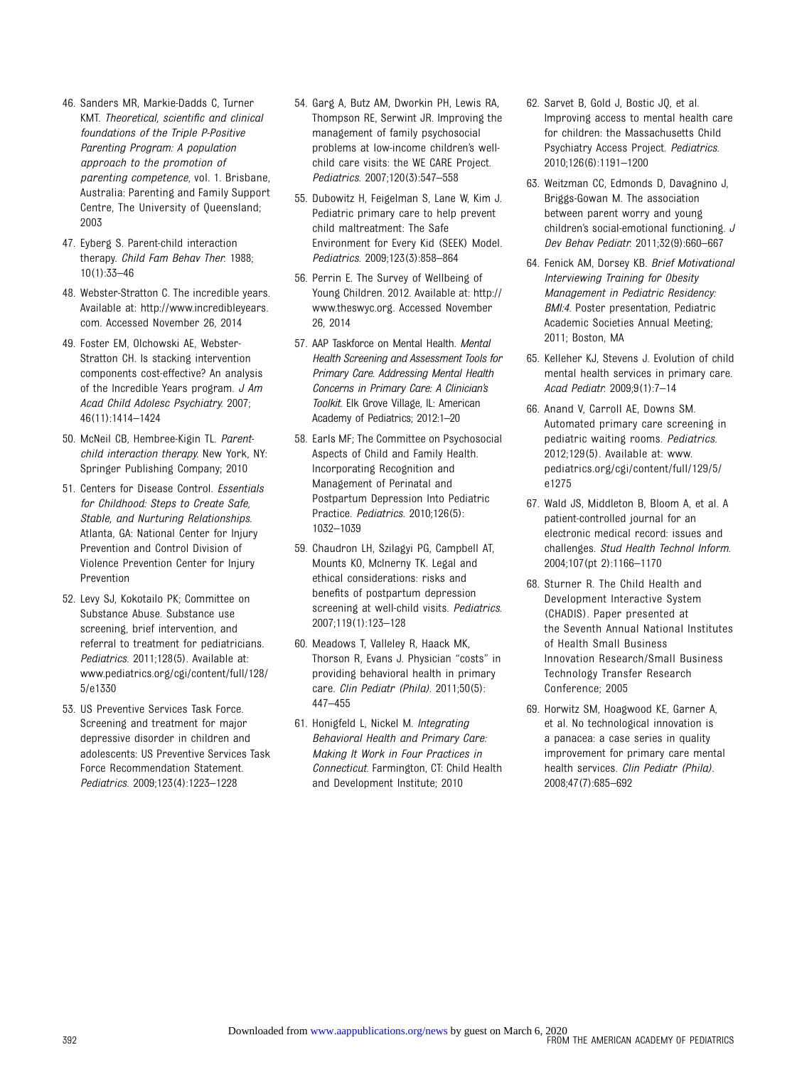- 46. Sanders MR, Markie-Dadds C, Turner KMT. Theoretical, scientific and clinical foundations of the Triple P-Positive Parenting Program: A population approach to the promotion of parenting competence, vol. 1. Brisbane, Australia: Parenting and Family Support Centre, The University of Queensland; 2003
- 47. Eyberg S. Parent-child interaction therapy. Child Fam Behav Ther. 1988; 10(1):33–46
- 48. Webster-Stratton C. The incredible years. Available at: http:/[/www.incredibleyears.](http://www.incredibleyears.com) [com](http://www.incredibleyears.com). Accessed November 26, 2014
- 49. Foster EM, Olchowski AE, Webster-Stratton CH. Is stacking intervention components cost-effective? An analysis of the Incredible Years program. J Am Acad Child Adolesc Psychiatry. 2007; 46(11):1414–1424
- 50. McNeil CB, Hembree-Kigin TL. Parentchild interaction therapy. New York, NY: Springer Publishing Company; 2010
- 51. Centers for Disease Control. Essentials for Childhood: Steps to Create Safe, Stable, and Nurturing Relationships. Atlanta, GA: National Center for Injury Prevention and Control Division of Violence Prevention Center for Injury Prevention
- 52. Levy SJ, Kokotailo PK; Committee on Substance Abuse. Substance use screening, brief intervention, and referral to treatment for pediatricians. Pediatrics. 2011;128(5). Available at: [www.pediatrics.org/cgi/content/full/128/](http://www.pediatrics.org/cgi/content/full/128/5/e1330) [5/e1330](http://www.pediatrics.org/cgi/content/full/128/5/e1330)
- 53. US Preventive Services Task Force. Screening and treatment for major depressive disorder in children and adolescents: US Preventive Services Task Force Recommendation Statement. Pediatrics. 2009;123(4):1223–1228
- 54. Garg A, Butz AM, Dworkin PH, Lewis RA, Thompson RE, Serwint JR. Improving the management of family psychosocial problems at low-income children's wellchild care visits: the WE CARE Project. Pediatrics. 2007;120(3):547–558
- 55. Dubowitz H, Feigelman S, Lane W, Kim J. Pediatric primary care to help prevent child maltreatment: The Safe Environment for Every Kid (SEEK) Model. Pediatrics. 2009;123(3):858–864
- 56. Perrin E. The Survey of Wellbeing of Young Children. 2012. Available at: http:// [www.theswyc.org](http://www.theswyc.org). Accessed November 26, 2014
- 57. AAP Taskforce on Mental Health. Mental Health Screening and Assessment Tools for Primary Care. Addressing Mental Health Concerns in Primary Care: A Clinician's Toolkit. Elk Grove Village, IL: American Academy of Pediatrics; 2012:1–20
- 58. Earls MF; The Committee on Psychosocial Aspects of Child and Family Health. Incorporating Recognition and Management of Perinatal and Postpartum Depression Into Pediatric Practice. Pediatrics. 2010;126(5): 1032–1039
- 59. Chaudron LH, Szilagyi PG, Campbell AT, Mounts KO, McInerny TK. Legal and ethical considerations: risks and benefits of postpartum depression screening at well-child visits. Pediatrics. 2007;119(1):123–128
- 60. Meadows T, Valleley R, Haack MK, Thorson R, Evans J. Physician "costs" in providing behavioral health in primary care. Clin Pediatr (Phila). 2011;50(5): 447–455
- 61. Honigfeld L, Nickel M. Integrating Behavioral Health and Primary Care: Making It Work in Four Practices in Connecticut. Farmington, CT: Child Health and Development Institute; 2010
- 62. Sarvet B, Gold J, Bostic JQ, et al. Improving access to mental health care for children: the Massachusetts Child Psychiatry Access Project. Pediatrics. 2010;126(6):1191–1200
- 63. Weitzman CC, Edmonds D, Davagnino J, Briggs-Gowan M. The association between parent worry and young children's social-emotional functioning. J Dev Behav Pediatr. 2011;32(9):660–667
- 64. Fenick AM, Dorsey KB. Brief Motivational Interviewing Training for Obesity Management in Pediatric Residency: BMI:4. Poster presentation, Pediatric Academic Societies Annual Meeting; 2011; Boston, MA
- 65. Kelleher KJ, Stevens J. Evolution of child mental health services in primary care. Acad Pediatr. 2009;9(1):7–14
- 66. Anand V, Carroll AE, Downs SM. Automated primary care screening in pediatric waiting rooms. Pediatrics. 2012;129(5). Available at: [www.](http://www.pediatrics.org/cgi/content/full/129/5/e1275) [pediatrics.org/cgi/content/full/129/5/](http://www.pediatrics.org/cgi/content/full/129/5/e1275) [e1275](http://www.pediatrics.org/cgi/content/full/129/5/e1275)
- 67. Wald JS, Middleton B, Bloom A, et al. A patient-controlled journal for an electronic medical record: issues and challenges. Stud Health Technol Inform. 2004;107(pt 2):1166–1170
- 68. Sturner R. The Child Health and Development Interactive System (CHADIS). Paper presented at the Seventh Annual National Institutes of Health Small Business Innovation Research/Small Business Technology Transfer Research Conference; 2005
- 69. Horwitz SM, Hoagwood KE, Garner A, et al. No technological innovation is a panacea: a case series in quality improvement for primary care mental health services. Clin Pediatr (Phila). 2008;47(7):685–692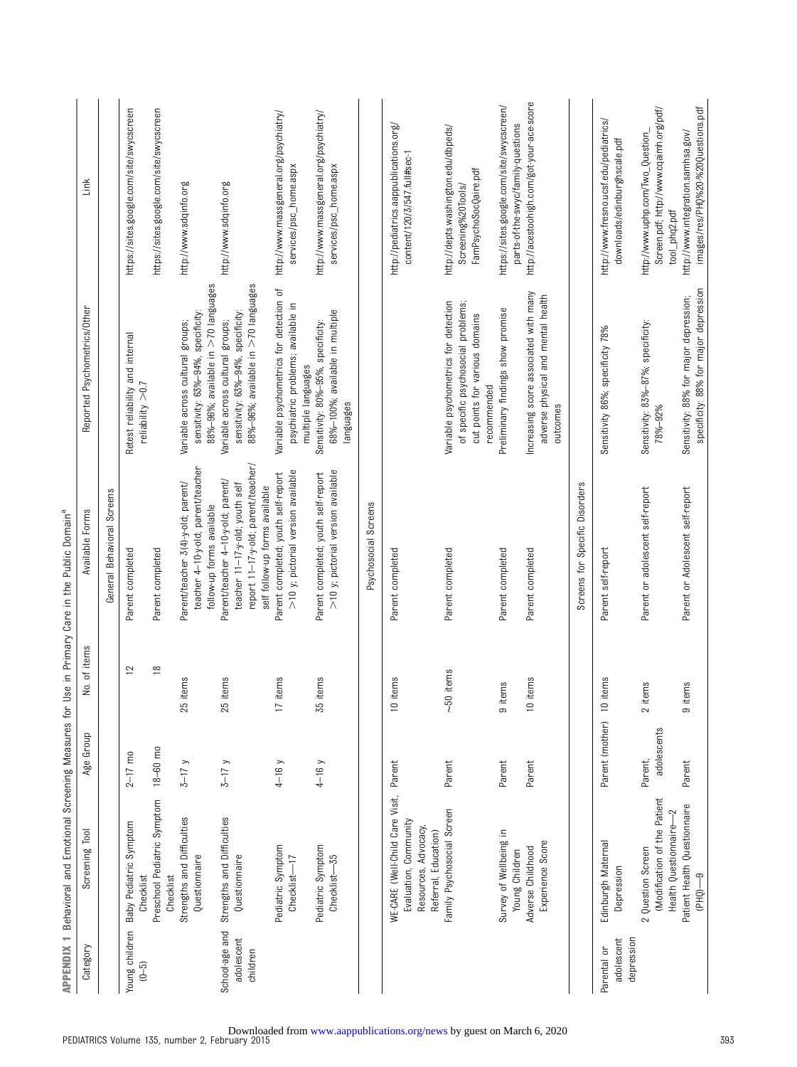| Category                                 | Screening Tool                                                                                           | Age Group                | No. of items      | Available Forms                                                                                                                                | Reported Psychometrics/Other                                                                                                | Link                                                                                         |
|------------------------------------------|----------------------------------------------------------------------------------------------------------|--------------------------|-------------------|------------------------------------------------------------------------------------------------------------------------------------------------|-----------------------------------------------------------------------------------------------------------------------------|----------------------------------------------------------------------------------------------|
|                                          |                                                                                                          |                          |                   |                                                                                                                                                |                                                                                                                             |                                                                                              |
|                                          |                                                                                                          |                          |                   | General Behavioral Screens                                                                                                                     |                                                                                                                             |                                                                                              |
| Young children<br>$(0 - 5)$              | Baby Pediatric Symptom<br>Checklist                                                                      | $2 - 17$ mo              | $\overline{12}$   | Parent completed                                                                                                                               | Retest reliability and internal<br>reliability >0.7                                                                         | https://sites.google.com/site/swycscreen                                                     |
|                                          | Preschool Pediatric Symptom<br>Checklist                                                                 | $18 - 60$ mo             | $\frac{8}{1}$     | Parent completed                                                                                                                               |                                                                                                                             | https://sites.google.com/site/swycscreen                                                     |
|                                          | Strengths and Difficulties<br>Questionnaire                                                              | $3-17y$                  | items<br>25       | teacher 4-10-y-old; parent/teacher<br>Parent/teacher 3(4)-y-old; parent/<br>follow-up forms available                                          | 88%-96%; available in >70 languages<br>sensitivity: 63%-94%, specificity:<br>Variable across cultural groups;               | http://www.sdqinfo.org                                                                       |
| School-age and<br>adolescent<br>children | Strengths and Difficulties<br>Questionnaire                                                              | $3-17y$                  | items<br>25       | report 11-17-y-old; parent/teacher/<br>Parent/teacher 4-10-y-old; parent/<br>teacher 11-17-y-old; youth self<br>self follow-up forms available | 88%-96%; available in >70 languages<br>sensitivity: 63%-94%, specificity:<br>Variable across cultural groups;               | http://www.sdqinfo.org                                                                       |
|                                          | Pediatric Symptom<br>Checklist-                                                                          | $4-16y$                  | items<br>₽        | >10 y; pictorial version available<br>Parent completed; youth self-report                                                                      | Variable psychometrics for detection of<br>psychiatric problems; available in<br>multiple languages                         | http://www.massgeneral.org/psychiatry/<br>services/psc_home.aspx                             |
|                                          | Pediatric Symptom<br>Checklist-35                                                                        | $4-16y$                  | 35 items          | >10 y; pictorial version available<br>Parent completed; youth self-report                                                                      | 68%-100%; available in multiple<br>Sensitivity: 80%-95%, specificity:<br>languages                                          | http://www.massgeneral.org/psychiatry/<br>services/psc_home.aspx                             |
|                                          |                                                                                                          |                          |                   | Psychosocial Screens                                                                                                                           |                                                                                                                             |                                                                                              |
|                                          | WE-CARE (Well-Child Care Visit,<br>Evaluation, Community<br>Resources, Advocacy,<br>Referral, Education) | Parent                   | 10 items          | Parent completed                                                                                                                               |                                                                                                                             | http://pediatrics.aappublications.org/<br>content/120/3/547.full#sec-1                       |
|                                          | Family Psychosocial Screen                                                                               | Parent                   | $~50$ items       | Parent completed                                                                                                                               | Variable psychometrics for detection<br>of specific psychosocial problems;<br>cut points for various domains<br>recommended | http://depts.washington.edu/dbpeds/<br>FamPsychoSocQaire.pdf<br>Screening%20Tools/           |
|                                          | Survey of Wellbeing in<br>Young Children                                                                 | Parent                   | items<br>$\sigma$ | Parent completed                                                                                                                               | Preliminary findings show promise                                                                                           | https://sites.google.com/site/swycscreen/<br>parts-of-the-swyc/family-questions              |
|                                          | Experience Score<br>Adverse Childhood                                                                    | Parent                   | 10 items          | Parent completed                                                                                                                               | Increasing score associated with many<br>adverse physical and mental health<br>outcomes                                     | http://acestoohigh.com/got-your-ace-score                                                    |
|                                          |                                                                                                          |                          |                   | Screens for Specific Disorders                                                                                                                 |                                                                                                                             |                                                                                              |
| depression<br>adolescent<br>Parental or  | Edinburgh Maternal<br>Depression                                                                         | Parent (mother) 10 items |                   | Parent self-report                                                                                                                             | Sensitivity 86%; specificity 78%                                                                                            | http://www.fresno.ucsf.edu/pediatrics/<br>downloads/edinburghscale.pdf                       |
|                                          | (Modification of the Patient<br>Health Questionnaire-<br>2 Question Screen                               | adolescents<br>Parent,   | items<br>$\sim$   | Parent or adolescent self-report                                                                                                               | Sensitivity: 83%-87%; specificity:<br>78%-92%                                                                               | Screen.pdf, http://www.cqaimh.org/pdf/<br>http://www.uphp.com/Two_Question_<br>tool_phq2.pdf |
|                                          | Patient Health Questionnaire<br>$(PHQ)$ -8                                                               | Parent                   | items<br>6        | Parent or Adolescent self-report                                                                                                               | specificity: 88% for major depression<br>Sensitivity: 88% for major depression;                                             | images/res/PHQ%20-%20Questions.pdf<br>http://www.integration.samhsa.gov/                     |

APPENDIX 1 Behavioral and Emotional Screening Measures for Use in Primary Care in the Public Domain<sup>a</sup> APPENDIX 1 Behavioral and Emotional Screening Measures for Use in Primary Care in the Public Domaina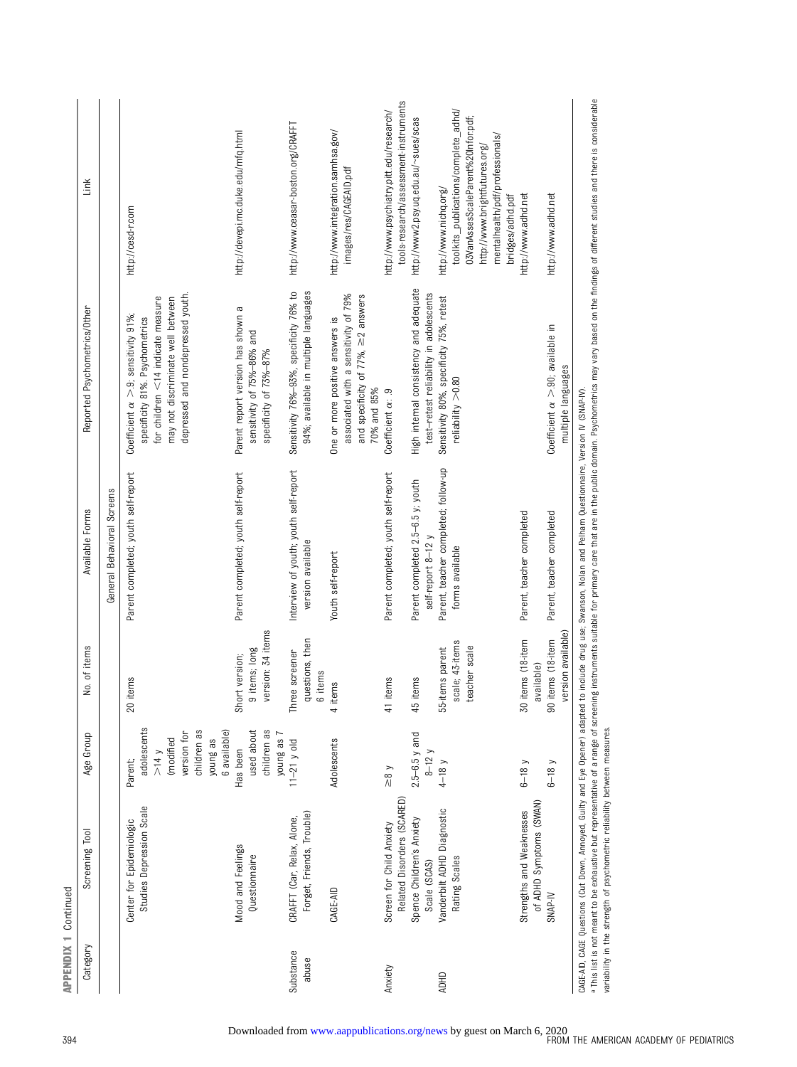| Link                         |                            | http://cesd-r.com                                                                                                                                                                                 | http://devepi.mc.duke.edu/mfq.html                                                        | http://www.ceasar-boston.org/CRAFFT                                             | http://www.integration.samhsa.gov/<br>images/res/CAGEAID.pdf                                                                           | tools-research/assessment-instruments<br>http://www.psychiatry.pitt.edu/research/ | http://www2.psy.uq.edu.au/~sues/scas                                             | toolkits_publications/complete_adhd/<br>03VanAssesScaleParent%20Infor.pdf,<br>mentalhealth/pdf/professionals/<br>http://www.brightfutures.org/<br>http://www.nichq.org/<br>bridges/adhd.pdf | http://www.adhd.net                                 | http://www.adhd.net                                            |
|------------------------------|----------------------------|---------------------------------------------------------------------------------------------------------------------------------------------------------------------------------------------------|-------------------------------------------------------------------------------------------|---------------------------------------------------------------------------------|----------------------------------------------------------------------------------------------------------------------------------------|-----------------------------------------------------------------------------------|----------------------------------------------------------------------------------|---------------------------------------------------------------------------------------------------------------------------------------------------------------------------------------------|-----------------------------------------------------|----------------------------------------------------------------|
| Reported Psychometrics/Other |                            | depressed and nondepressed youth.<br>for children $\lt 14$ indicate measure<br>may not discriminate well between<br>Coefficient $\alpha > 9$ ; sensitivity 91%;<br>specificity 81%. Psychometrics | Parent report version has shown a<br>sensitivity of 75%-86% and<br>specificity of 73%-87% | Sensitivity 76%-93%, specificity 76% to<br>94%; available in multiple languages | associated with a sensitivity of 79%<br>and specificity of $77\%$ , $\geq$ 2 answers<br>One or more positive answers is<br>70% and 85% | Coefficient a: .9                                                                 | High internal consistency and adequate<br>test-retest reliability in adolescents | Sensitivity 80%, specificity 75%, retest<br>reliability >0.80                                                                                                                               |                                                     | Coefficient $\alpha > 90$ ; available in<br>multiple languages |
| Available Forms              | General Behavioral Screens | Parent completed; youth self-report                                                                                                                                                               | Parent completed; youth self-report                                                       | Interview of youth; youth self-report<br>version available                      | Youth self-report                                                                                                                      | Parent completed; youth self-report                                               | Parent completed 2.5-6.5 y; youth<br>self-report 8-12 y                          | Parent, teacher completed; follow-up<br>forms available                                                                                                                                     | Parent, teacher completed                           | Parent, teacher completed                                      |
| No. of items                 |                            | 20 items                                                                                                                                                                                          | version: 34 items<br>9 items; long<br>Short version;                                      | questions, then<br>Three screener<br>6 items                                    | items                                                                                                                                  | items                                                                             | 45 items                                                                         | scale; 43-items<br>teacher scale<br>55-items parent                                                                                                                                         | 30 items (18-item<br>available)                     | version available)<br>90 items (18-item                        |
| Age Group                    |                            | adolescents<br>children as<br>6 available)<br>version for<br>(modified<br>young as<br>>14 y<br>Parent;                                                                                            | children as<br>used about<br>young as 7<br>Has been                                       | $11-21$ y old                                                                   | Adolescents                                                                                                                            | $\geq 8$ y                                                                        | $2.5 - 6.5$ y and<br>$8-12$ y                                                    | $4-18y$                                                                                                                                                                                     | $6 - 18y$                                           | $6 - 18y$                                                      |
| Screening Tool               |                            | Studies Depression Scale<br>Center for Epidemiologic                                                                                                                                              | Mood and Feelings<br>Questionnaire                                                        | Forget, Friends, Trouble)<br>CRAFFT (Car, Relax, Alone,                         | CAGE-AID                                                                                                                               | Related Disorders (SCARED)<br>Screen for Child Anxiety                            | Spence Children's Anxiety<br>Scale (SCAS)                                        | Vanderbilt ADHD Diagnostic<br>Rating Scales                                                                                                                                                 | of ADHD Symptoms (SWAN)<br>Strengths and Weaknesses | SNAP-IV                                                        |
| Category                     |                            |                                                                                                                                                                                                   |                                                                                           | Substance<br>abuse                                                              |                                                                                                                                        | Anxiety                                                                           |                                                                                  | <b>ADHD</b>                                                                                                                                                                                 |                                                     |                                                                |

variability in the strength of psychometric reliability between measures.

variability in the strength of psychometric reliability between measures.

APPENDIX 1 Continued

**APPENDIX 1 Continued**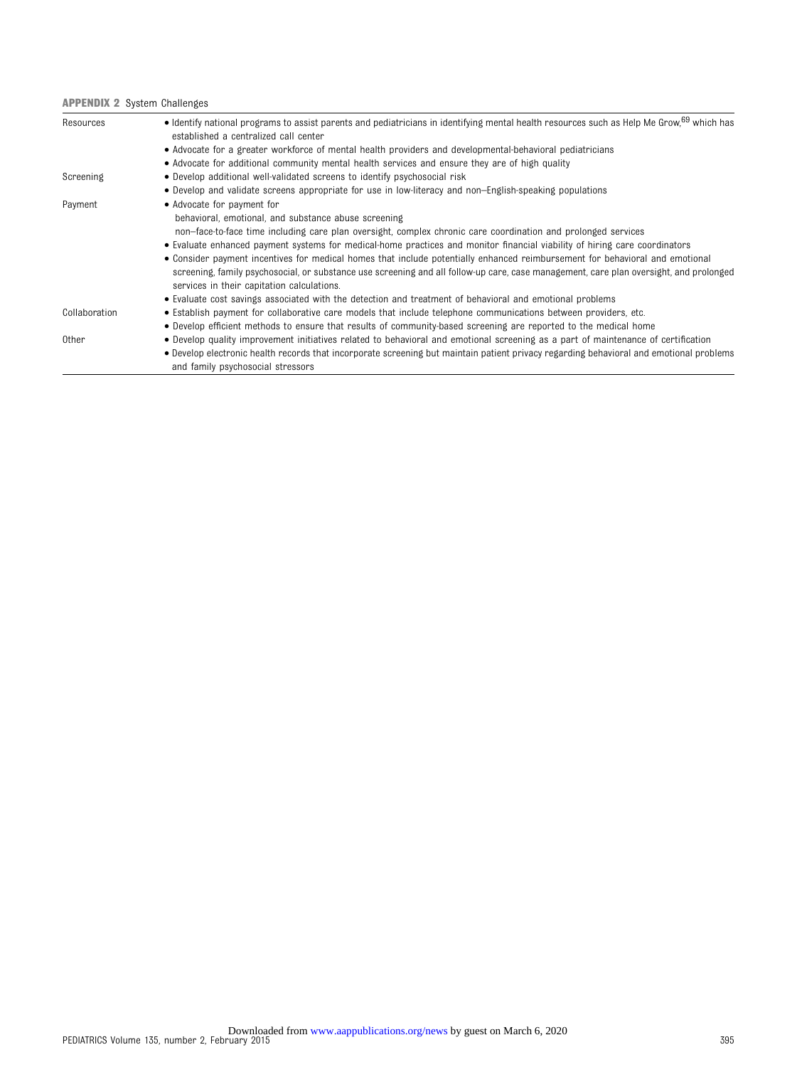#### APPENDIX 2 System Challenges

| Resources     | • Identify national programs to assist parents and pediatricians in identifying mental health resources such as Help Me Grow, <sup>69</sup> which has<br>established a centralized call center                                                                                                                       |
|---------------|----------------------------------------------------------------------------------------------------------------------------------------------------------------------------------------------------------------------------------------------------------------------------------------------------------------------|
|               | • Advocate for a greater workforce of mental health providers and developmental-behavioral pediatricians                                                                                                                                                                                                             |
|               | • Advocate for additional community mental health services and ensure they are of high quality                                                                                                                                                                                                                       |
| Screening     | • Develop additional well-validated screens to identify psychosocial risk                                                                                                                                                                                                                                            |
|               | • Develop and validate screens appropriate for use in low-literacy and non-English-speaking populations                                                                                                                                                                                                              |
| Payment       | • Advocate for payment for                                                                                                                                                                                                                                                                                           |
|               | behavioral, emotional, and substance abuse screening                                                                                                                                                                                                                                                                 |
|               | non-face-to-face time including care plan oversight, complex chronic care coordination and prolonged services                                                                                                                                                                                                        |
|               | • Evaluate enhanced payment systems for medical-home practices and monitor financial viability of hiring care coordinators                                                                                                                                                                                           |
|               | • Consider payment incentives for medical homes that include potentially enhanced reimbursement for behavioral and emotional<br>screening, family psychosocial, or substance use screening and all follow-up care, case management, care plan oversight, and prolonged<br>services in their capitation calculations. |
|               | • Evaluate cost savings associated with the detection and treatment of behavioral and emotional problems                                                                                                                                                                                                             |
| Collaboration | • Establish payment for collaborative care models that include telephone communications between providers, etc.                                                                                                                                                                                                      |
|               | • Develop efficient methods to ensure that results of community-based screening are reported to the medical home                                                                                                                                                                                                     |
| Other         | • Develop quality improvement initiatives related to behavioral and emotional screening as a part of maintenance of certification                                                                                                                                                                                    |
|               | • Develop electronic health records that incorporate screening but maintain patient privacy regarding behavioral and emotional problems<br>and family psychosocial stressors                                                                                                                                         |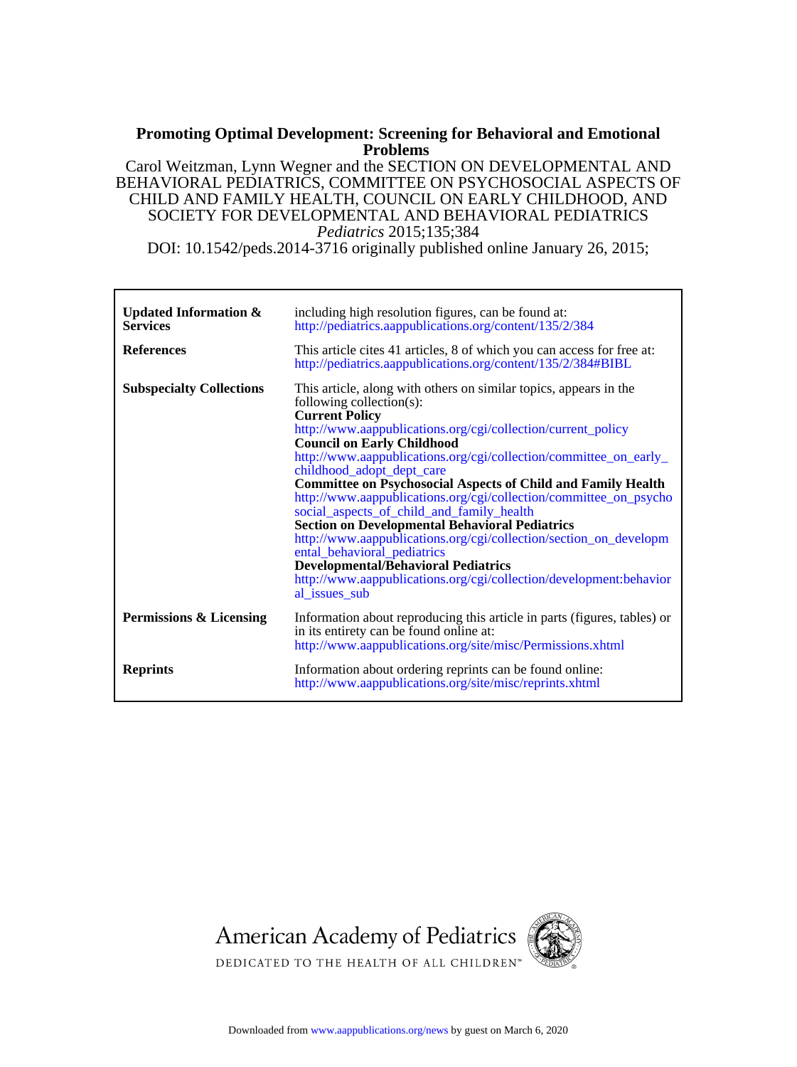### **Problems Promoting Optimal Development: Screening for Behavioral and Emotional**

*Pediatrics* 2015;135;384 SOCIETY FOR DEVELOPMENTAL AND BEHAVIORAL PEDIATRICS CHILD AND FAMILY HEALTH, COUNCIL ON EARLY CHILDHOOD, AND BEHAVIORAL PEDIATRICS, COMMITTEE ON PSYCHOSOCIAL ASPECTS OF Carol Weitzman, Lynn Wegner and the SECTION ON DEVELOPMENTAL AND

DOI: 10.1542/peds.2014-3716 originally published online January 26, 2015;

| <b>Updated Information &amp;</b><br><b>Services</b> | including high resolution figures, can be found at:<br>http://pediatrics.aappublications.org/content/135/2/384                                                                                                                                                                                                                                                                                                                                                                                                                                                                                                                                                                                                                                                                                                               |
|-----------------------------------------------------|------------------------------------------------------------------------------------------------------------------------------------------------------------------------------------------------------------------------------------------------------------------------------------------------------------------------------------------------------------------------------------------------------------------------------------------------------------------------------------------------------------------------------------------------------------------------------------------------------------------------------------------------------------------------------------------------------------------------------------------------------------------------------------------------------------------------------|
| <b>References</b>                                   | This article cites 41 articles, 8 of which you can access for free at:<br>http://pediatrics.aappublications.org/content/135/2/384#BIBL                                                                                                                                                                                                                                                                                                                                                                                                                                                                                                                                                                                                                                                                                       |
| <b>Subspecialty Collections</b>                     | This article, along with others on similar topics, appears in the<br>following collection $(s)$ :<br><b>Current Policy</b><br>http://www.aappublications.org/cgi/collection/current_policy<br><b>Council on Early Childhood</b><br>http://www.aappublications.org/cgi/collection/committee_on_early_<br>childhood_adopt_dept_care<br><b>Committee on Psychosocial Aspects of Child and Family Health</b><br>http://www.aappublications.org/cgi/collection/committee_on_psycho<br>social_aspects_of_child_and_family_health<br><b>Section on Developmental Behavioral Pediatrics</b><br>http://www.aappublications.org/cgi/collection/section_on_developm<br>ental_behavioral_pediatrics<br><b>Developmental/Behavioral Pediatrics</b><br>http://www.aappublications.org/cgi/collection/development:behavior<br>al issues sub |
| Permissions & Licensing                             | Information about reproducing this article in parts (figures, tables) or<br>in its entirety can be found online at:<br>http://www.aappublications.org/site/misc/Permissions.xhtml                                                                                                                                                                                                                                                                                                                                                                                                                                                                                                                                                                                                                                            |
| <b>Reprints</b>                                     | Information about ordering reprints can be found online:<br>http://www.aappublications.org/site/misc/reprints.xhtml                                                                                                                                                                                                                                                                                                                                                                                                                                                                                                                                                                                                                                                                                                          |